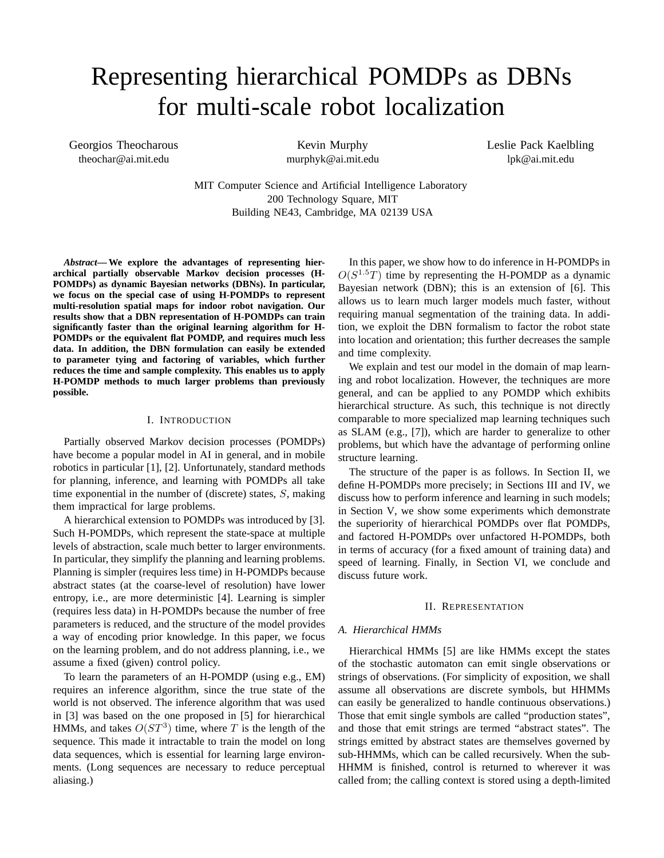# Representing hierarchical POMDPs as DBNs for multi-scale robot localization

Georgios Theocharous theochar@ai.mit.edu

Kevin Murphy murphyk@ai.mit.edu Leslie Pack Kaelbling lpk@ai.mit.edu

MIT Computer Science and Artificial Intelligence Laboratory 200 Technology Square, MIT Building NE43, Cambridge, MA 02139 USA

*Abstract***— We explore the advantages of representing hierarchical partially observable Markov decision processes (H-POMDPs) as dynamic Bayesian networks (DBNs). In particular, we focus on the special case of using H-POMDPs to represent multi-resolution spatial maps for indoor robot navigation. Our results show that a DBN representation of H-POMDPs can train significantly faster than the original learning algorithm for H-POMDPs or the equivalent flat POMDP, and requires much less data. In addition, the DBN formulation can easily be extended to parameter tying and factoring of variables, which further reduces the time and sample complexity. This enables us to apply H-POMDP methods to much larger problems than previously possible.**

#### I. INTRODUCTION

Partially observed Markov decision processes (POMDPs) have become a popular model in AI in general, and in mobile robotics in particular [1], [2]. Unfortunately, standard methods for planning, inference, and learning with POMDPs all take time exponential in the number of (discrete) states, S, making them impractical for large problems.

A hierarchical extension to POMDPs was introduced by [3]. Such H-POMDPs, which represent the state-space at multiple levels of abstraction, scale much better to larger environments. In particular, they simplify the planning and learning problems. Planning is simpler (requires less time) in H-POMDPs because abstract states (at the coarse-level of resolution) have lower entropy, i.e., are more deterministic [4]. Learning is simpler (requires less data) in H-POMDPs because the number of free parameters is reduced, and the structure of the model provides a way of encoding prior knowledge. In this paper, we focus on the learning problem, and do not address planning, i.e., we assume a fixed (given) control policy.

To learn the parameters of an H-POMDP (using e.g., EM) requires an inference algorithm, since the true state of the world is not observed. The inference algorithm that was used in [3] was based on the one proposed in [5] for hierarchical HMMs, and takes  $O(ST^3)$  time, where T is the length of the sequence. This made it intractable to train the model on long data sequences, which is essential for learning large environments. (Long sequences are necessary to reduce perceptual aliasing.)

In this paper, we show how to do inference in H-POMDPs in  $O(S^{1.5}T)$  time by representing the H-POMDP as a dynamic Bayesian network (DBN); this is an extension of [6]. This allows us to learn much larger models much faster, without requiring manual segmentation of the training data. In addition, we exploit the DBN formalism to factor the robot state into location and orientation; this further decreases the sample and time complexity.

We explain and test our model in the domain of map learning and robot localization. However, the techniques are more general, and can be applied to any POMDP which exhibits hierarchical structure. As such, this technique is not directly comparable to more specialized map learning techniques such as SLAM (e.g., [7]), which are harder to generalize to other problems, but which have the advantage of performing online structure learning.

The structure of the paper is as follows. In Section II, we define H-POMDPs more precisely; in Sections III and IV, we discuss how to perform inference and learning in such models; in Section V, we show some experiments which demonstrate the superiority of hierarchical POMDPs over flat POMDPs, and factored H-POMDPs over unfactored H-POMDPs, both in terms of accuracy (for a fixed amount of training data) and speed of learning. Finally, in Section VI, we conclude and discuss future work.

#### II. REPRESENTATION

## *A. Hierarchical HMMs*

Hierarchical HMMs [5] are like HMMs except the states of the stochastic automaton can emit single observations or strings of observations. (For simplicity of exposition, we shall assume all observations are discrete symbols, but HHMMs can easily be generalized to handle continuous observations.) Those that emit single symbols are called "production states", and those that emit strings are termed "abstract states". The strings emitted by abstract states are themselves governed by sub-HHMMs, which can be called recursively. When the sub-HHMM is finished, control is returned to wherever it was called from; the calling context is stored using a depth-limited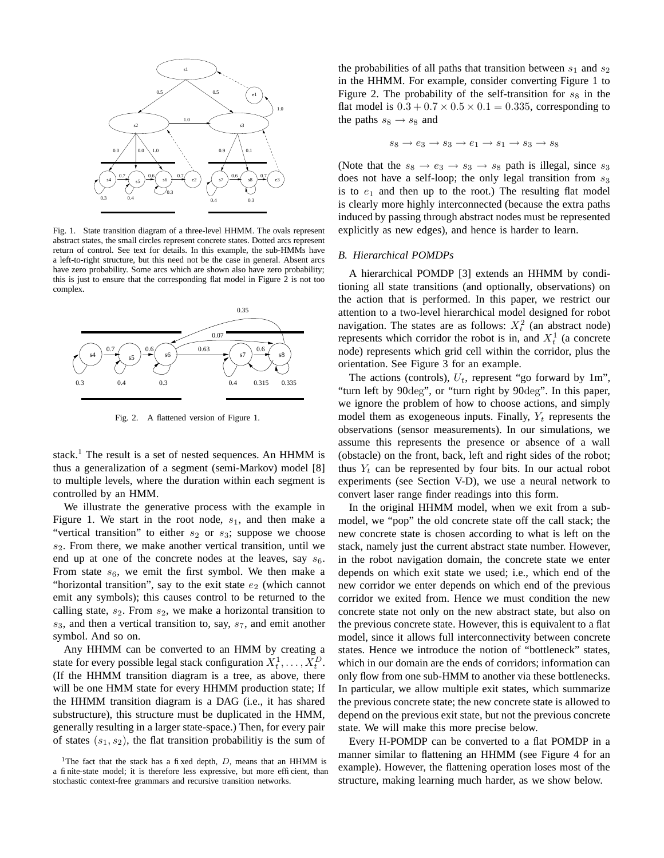

Fig. 1. State transition diagram of a three-level HHMM. The ovals represent abstract states, the small circles represent concrete states. Dotted arcs represent return of control. See text for details. In this example, the sub-HMMs have a left-to-right structure, but this need not be the case in general. Absent arcs have zero probability. Some arcs which are shown also have zero probability; this is just to ensure that the corresponding flat model in Figure 2 is not too complex.



Fig. 2. A flattened version of Figure 1.

stack.<sup>1</sup> The result is a set of nested sequences. An HHMM is thus a generalization of a segment (semi-Markov) model [8] to multiple levels, where the duration within each segment is controlled by an HMM.

We illustrate the generative process with the example in Figure 1. We start in the root node,  $s<sub>1</sub>$ , and then make a "vertical transition" to either  $s_2$  or  $s_3$ ; suppose we choose  $s<sub>2</sub>$ . From there, we make another vertical transition, until we end up at one of the concrete nodes at the leaves, say  $s_6$ . From state  $s_6$ , we emit the first symbol. We then make a "horizontal transition", say to the exit state  $e_2$  (which cannot emit any symbols); this causes control to be returned to the calling state,  $s_2$ . From  $s_2$ , we make a horizontal transition to  $s_3$ , and then a vertical transition to, say,  $s_7$ , and emit another symbol. And so on.

Any HHMM can be converted to an HMM by creating a state for every possible legal stack configuration  $X_t^1, \ldots, X_t^D$ . (If the HHMM transition diagram is a tree, as above, there will be one HMM state for every HHMM production state; If the HHMM transition diagram is a DAG (i.e., it has shared substructure), this structure must be duplicated in the HMM, generally resulting in a larger state-space.) Then, for every pair of states  $(s_1, s_2)$ , the flat transition probabilitiy is the sum of the probabilities of all paths that transition between  $s_1$  and  $s_2$ in the HHMM. For example, consider converting Figure 1 to Figure 2. The probability of the self-transition for  $s_8$  in the flat model is  $0.3 + 0.7 \times 0.5 \times 0.1 = 0.335$ , corresponding to the paths  $s_8 \rightarrow s_8$  and

$$
s_8 \rightarrow e_3 \rightarrow s_3 \rightarrow e_1 \rightarrow s_1 \rightarrow s_3 \rightarrow s_8
$$

(Note that the  $s_8 \rightarrow e_3 \rightarrow s_3 \rightarrow s_8$  path is illegal, since  $s_3$ does not have a self-loop; the only legal transition from  $s_3$ is to  $e_1$  and then up to the root.) The resulting flat model is clearly more highly interconnected (because the extra paths induced by passing through abstract nodes must be represented explicitly as new edges), and hence is harder to learn.

## *B. Hierarchical POMDPs*

A hierarchical POMDP [3] extends an HHMM by conditioning all state transitions (and optionally, observations) on the action that is performed. In this paper, we restrict our attention to a two-level hierarchical model designed for robot navigation. The states are as follows:  $X_t^2$  (an abstract node) represents which corridor the robot is in, and  $X_t^1$  (a concrete node) represents which grid cell within the corridor, plus the orientation. See Figure 3 for an example.

The actions (controls),  $U_t$ , represent "go forward by 1m", "turn left by 90deg", or "turn right by 90deg". In this paper, we ignore the problem of how to choose actions, and simply model them as exogeneous inputs. Finally,  $Y_t$  represents the observations (sensor measurements). In our simulations, we assume this represents the presence or absence of a wall (obstacle) on the front, back, left and right sides of the robot; thus  $Y_t$  can be represented by four bits. In our actual robot experiments (see Section V-D), we use a neural network to convert laser range finder readings into this form.

In the original HHMM model, when we exit from a submodel, we "pop" the old concrete state off the call stack; the new concrete state is chosen according to what is left on the stack, namely just the current abstract state number. However, in the robot navigation domain, the concrete state we enter depends on which exit state we used; i.e., which end of the new corridor we enter depends on which end of the previous corridor we exited from. Hence we must condition the new concrete state not only on the new abstract state, but also on the previous concrete state. However, this is equivalent to a flat model, since it allows full interconnectivity between concrete states. Hence we introduce the notion of "bottleneck" states, which in our domain are the ends of corridors; information can only flow from one sub-HMM to another via these bottlenecks. In particular, we allow multiple exit states, which summarize the previous concrete state; the new concrete state is allowed to depend on the previous exit state, but not the previous concrete state. We will make this more precise below.

Every H-POMDP can be converted to a flat POMDP in a manner similar to flattening an HHMM (see Figure 4 for an example). However, the flattening operation loses most of the structure, making learning much harder, as we show below.

<sup>&</sup>lt;sup>1</sup>The fact that the stack has a fixed depth,  $D$ , means that an HHMM is a finite-state model; it is therefore less expressive, but more efficient, than stochastic context-free grammars and recursive transition networks.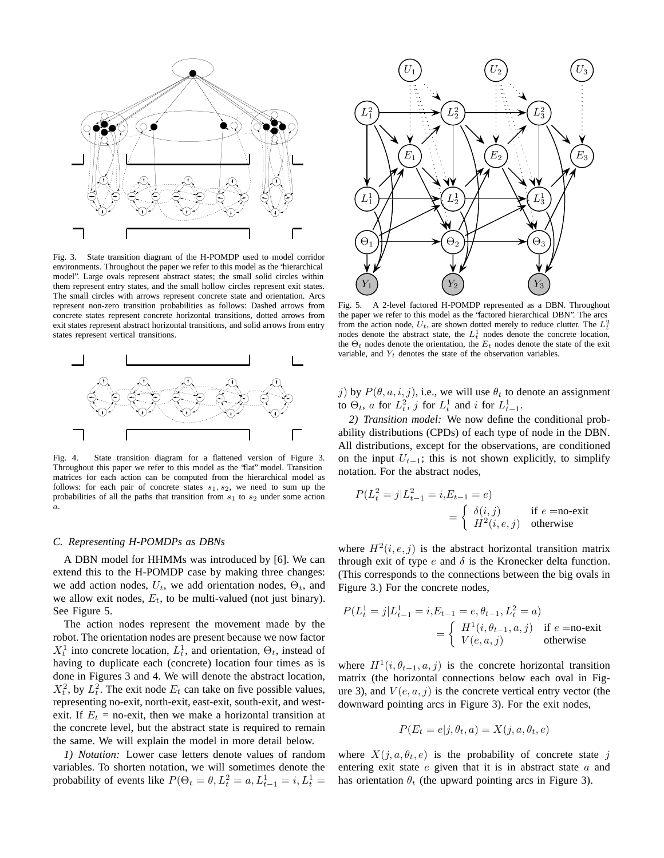

Fig. 3. State transition diagram of the H-POMDP used to model corridor environments. Throughout the paper we refer to this model as the "hierarchical model". Large ovals represent abstract states; the small solid circles within them represent entry states, and the small hollow circles represent exit states. The small circles with arrows represent concrete state and orientation. Arcs represent non-zero transition probabilities as follows: Dashed arrows from concrete states represent concrete horizontal transitions, dotted arrows from exit states represent abstract horizontal transitions, and solid arrows from entry states represent vertical transitions.



Fig. 4. State transition diagram for a flattened version of Figure 3. Throughout this paper we refer to this model as the "flat" model. Transition matrices for each action can be computed from the hierarchical model as follows: for each pair of concrete states  $s_1, s_2$ , we need to sum up the probabilities of all the paths that transition from  $s_1$  to  $s_2$  under some action a.

## *C. Representing H-POMDPs as DBNs*

A DBN model for HHMMs was introduced by [6]. We can extend this to the H-POMDP case by making three changes: we add action nodes,  $U_t$ , we add orientation nodes,  $\Theta_t$ , and we allow exit nodes,  $E_t$ , to be multi-valued (not just binary). See Figure 5.

The action nodes represent the movement made by the robot. The orientation nodes are present because we now factor  $X_t^1$  into concrete location,  $L_t^1$ , and orientation,  $\Theta_t$ , instead of having to duplicate each (concrete) location four times as is done in Figures 3 and 4. We will denote the abstract location,  $X_t^2$ , by  $L_t^2$ . The exit node  $E_t$  can take on five possible values, representing no-exit, north-exit, east-exit, south-exit, and westexit. If  $E_t$  = no-exit, then we make a horizontal transition at the concrete level, but the abstract state is required to remain the same. We will explain the model in more detail below.

*1) Notation:* Lower case letters denote values of random variables. To shorten notation, we will sometimes denote the probability of events like  $P(\Theta_t = \theta, L_t^2 = a, L_{t-1}^1 = i, L_t^1 =$ 



Fig. 5. A 2-level factored H-POMDP represented as a DBN. Throughout the paper we refer to this model as the "factored hierarchical DBN". The arcs from the action node,  $U_t$ , are shown dotted merely to reduce clutter. The  $L_t^2$ nodes denote the abstract state, the  $L_t^1$  nodes denote the concrete location, the  $\Theta_t$  nodes denote the orientation, the  $E_t$  nodes denote the state of the exit variable, and  $Y_t$  denotes the state of the observation variables.

j) by  $P(\theta, a, i, j)$ , i.e., we will use  $\theta_t$  to denote an assignment to  $\Theta_t$ , *a* for  $L_t^2$ , *j* for  $L_t^1$  and *i* for  $L_{t-1}^1$ .

*2) Transition model:* We now define the conditional probability distributions (CPDs) of each type of node in the DBN. All distributions, except for the observations, are conditioned on the input  $U_{t-1}$ ; this is not shown explicitly, to simplify notation. For the abstract nodes,

$$
P(L_t^2 = j | L_{t-1}^2 = i, E_{t-1} = e)
$$
  
= 
$$
\begin{cases} \delta(i,j) & \text{if } e = \text{no-exit} \\ H^2(i,e,j) & \text{otherwise} \end{cases}
$$

where  $H^2(i, e, j)$  is the abstract horizontal transition matrix through exit of type  $e$  and  $\delta$  is the Kronecker delta function. (This corresponds to the connections between the big ovals in Figure 3.) For the concrete nodes,

$$
P(L_t^1 = j | L_{t-1}^1 = i, E_{t-1} = e, \theta_{t-1}, L_t^2 = a)
$$
  
= 
$$
\begin{cases} H^1(i, \theta_{t-1}, a, j) & \text{if } e = \text{no-exit} \\ V(e, a, j) & \text{otherwise} \end{cases}
$$

where  $H^1(i, \theta_{t-1}, a, j)$  is the concrete horizontal transition matrix (the horizontal connections below each oval in Figure 3), and  $V(e, a, j)$  is the concrete vertical entry vector (the downward pointing arcs in Figure 3). For the exit nodes,

$$
P(E_t = e|j, \theta_t, a) = X(j, a, \theta_t, e)
$$

where  $X(j, a, \theta_t, e)$  is the probability of concrete state j entering exit state  $e$  given that it is in abstract state  $a$  and has orientation  $\theta_t$  (the upward pointing arcs in Figure 3).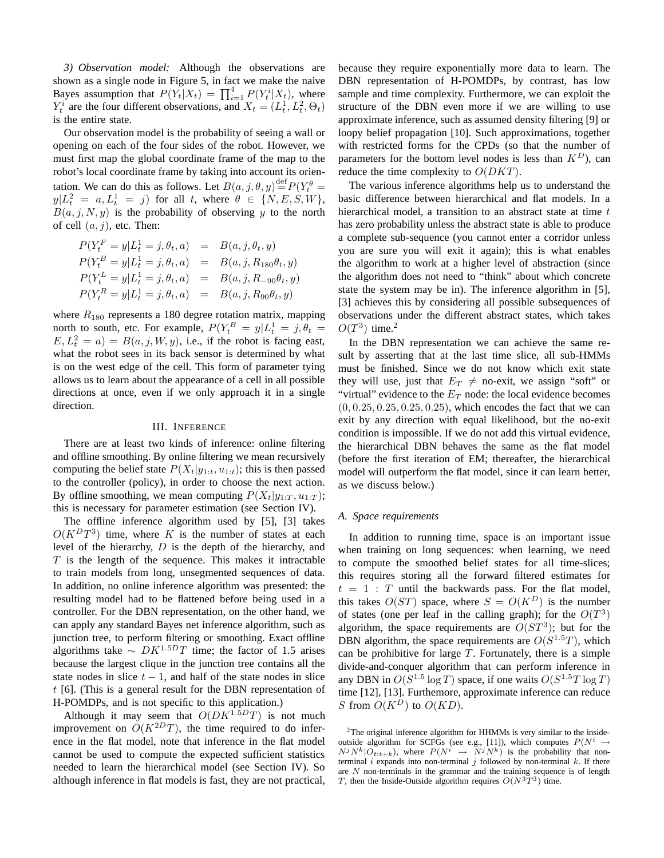*3) Observation model:* Although the observations are shown as a single node in Figure 5, in fact we make the naive Bayes assumption that  $P(Y_t|X_t) = \prod_{i=1}^4 P(Y_t^i|X_t)$ , where  $Y_t^i$  are the four different observations, and  $X_t = (L_t^1, L_t^2, \Theta_t)$ is the entire state.

Our observation model is the probability of seeing a wall or opening on each of the four sides of the robot. However, we must first map the global coordinate frame of the map to the robot's local coordinate frame by taking into account its orientation. We can do this as follows. Let  $B(a, j, \theta, y) \stackrel{\text{def}}{=} P(Y_t^{\theta} =$  $y|L_t^2 = a, L_t^1 = j$  for all t, where  $\theta \in \{N, E, S, W\},\$  $B(a, j, N, y)$  is the probability of observing y to the north of cell  $(a, j)$ , etc. Then:

$$
P(Y_t^F = y | L_t^1 = j, \theta_t, a) = B(a, j, \theta_t, y)
$$
  
\n
$$
P(Y_t^B = y | L_t^1 = j, \theta_t, a) = B(a, j, R_{180}\theta_t, y)
$$
  
\n
$$
P(Y_t^L = y | L_t^1 = j, \theta_t, a) = B(a, j, R_{-90}\theta_t, y)
$$
  
\n
$$
P(Y_t^R = y | L_t^1 = j, \theta_t, a) = B(a, j, R_{90}\theta_t, y)
$$

where  $R_{180}$  represents a 180 degree rotation matrix, mapping north to south, etc. For example,  $P(Y_t^B = y | L_t^1 = j, \theta_t =$  $E, L_t^2 = a$ ) =  $B(a, j, W, y)$ , i.e., if the robot is facing east, what the robot sees in its back sensor is determined by what is on the west edge of the cell. This form of parameter tying allows us to learn about the appearance of a cell in all possible directions at once, even if we only approach it in a single direction.

#### III. INFERENCE

There are at least two kinds of inference: online filtering and offline smoothing. By online filtering we mean recursively computing the belief state  $P(X_t|y_{1:t}, u_{1:t})$ ; this is then passed to the controller (policy), in order to choose the next action. By offline smoothing, we mean computing  $P(X_t|y_{1:T}, u_{1:T});$ this is necessary for parameter estimation (see Section IV).

The offline inference algorithm used by [5], [3] takes  $O(K^T T^3)$  time, where K is the number of states at each level of the hierarchy,  $D$  is the depth of the hierarchy, and  $T$  is the length of the sequence. This makes it intractable to train models from long, unsegmented sequences of data. In addition, no online inference algorithm was presented: the resulting model had to be flattened before being used in a controller. For the DBN representation, on the other hand, we can apply any standard Bayes net inference algorithm, such as junction tree, to perform filtering or smoothing. Exact offline algorithms take  $\sim DK^{1.5D}T$  time; the factor of 1.5 arises because the largest clique in the junction tree contains all the state nodes in slice  $t - 1$ , and half of the state nodes in slice t [6]. (This is a general result for the DBN representation of H-POMDPs, and is not specific to this application.)

Although it may seem that  $O(DK^{1.5D}T)$  is not much improvement on  $O(K^{2D}T)$ , the time required to do inference in the flat model, note that inference in the flat model cannot be used to compute the expected sufficient statistics needed to learn the hierarchical model (see Section IV). So although inference in flat models is fast, they are not practical, because they require exponentially more data to learn. The DBN representation of H-POMDPs, by contrast, has low sample and time complexity. Furthermore, we can exploit the structure of the DBN even more if we are willing to use approximate inference, such as assumed density filtering [9] or loopy belief propagation [10]. Such approximations, together with restricted forms for the CPDs (so that the number of parameters for the bottom level nodes is less than  $K^D$ ), can reduce the time complexity to  $O(DKT)$ .

The various inference algorithms help us to understand the basic difference between hierarchical and flat models. In a hierarchical model, a transition to an abstract state at time t has zero probability unless the abstract state is able to produce a complete sub-sequence (you cannot enter a corridor unless you are sure you will exit it again); this is what enables the algorithm to work at a higher level of abstraction (since the algorithm does not need to "think" about which concrete state the system may be in). The inference algorithm in [5], [3] achieves this by considering all possible subsequences of observations under the different abstract states, which takes  $O(T^3)$  time.<sup>2</sup>

In the DBN representation we can achieve the same result by asserting that at the last time slice, all sub-HMMs must be finished. Since we do not know which exit state they will use, just that  $E_T \neq$  no-exit, we assign "soft" or "virtual" evidence to the  $E_T$  node: the local evidence becomes  $(0, 0.25, 0.25, 0.25, 0.25)$ , which encodes the fact that we can exit by any direction with equal likelihood, but the no-exit condition is impossible. If we do not add this virtual evidence, the hierarchical DBN behaves the same as the flat model (before the first iteration of EM; thereafter, the hierarchical model will outperform the flat model, since it can learn better, as we discuss below.)

#### *A. Space requirements*

In addition to running time, space is an important issue when training on long sequences: when learning, we need to compute the smoothed belief states for all time-slices; this requires storing all the forward filtered estimates for  $t = 1$ : T until the backwards pass. For the flat model, this takes  $O(ST)$  space, where  $S = O(K^D)$  is the number of states (one per leaf in the calling graph); for the  $O(T^3)$ algorithm, the space requirements are  $O(ST^3)$ ; but for the DBN algorithm, the space requirements are  $O(S^{1.5}T)$ , which can be prohibitive for large  $T$ . Fortunately, there is a simple divide-and-conquer algorithm that can perform inference in any DBN in  $O(S^{1.5} \log T)$  space, if one waits  $O(S^{1.5} T \log T)$ time [12], [13]. Furthemore, approximate inference can reduce S from  $O(K^D)$  to  $O(KD)$ .

<sup>&</sup>lt;sup>2</sup>The original inference algorithm for HHMMs is very similar to the insideoutside algorithm for SCFGs (see e.g., [11]), which computes  $P(N^i \rightarrow$  $N^jN^k|O_{t:t+k}$ ), where  $P(N^i \rightarrow N^jN^k)$  is the probability that nonterminal i expands into non-terminal j followed by non-terminal  $k$ . If there are  $N$  non-terminals in the grammar and the training sequence is of length T, then the Inside-Outside algorithm requires  $O(N^3T^3)$  time.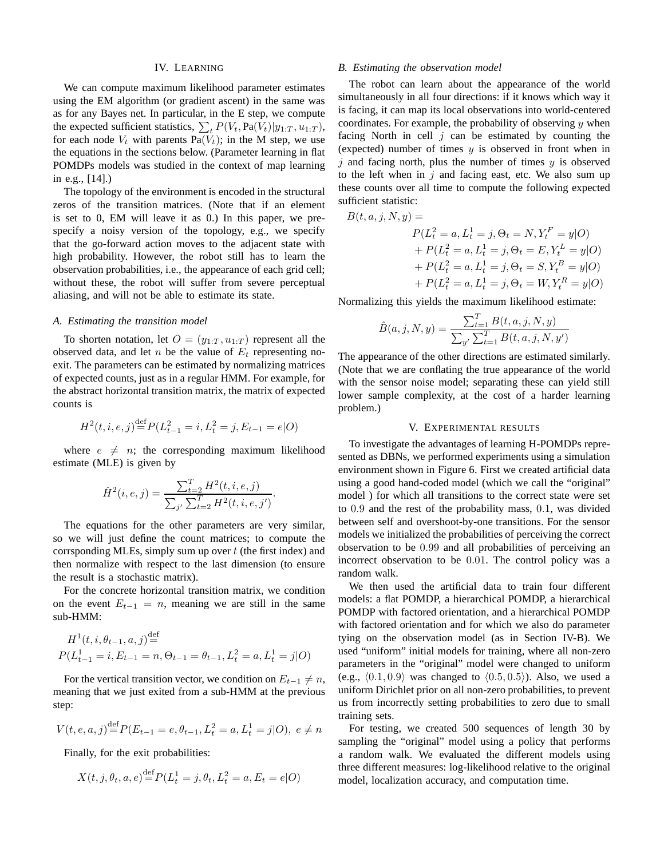#### IV. LEARNING

We can compute maximum likelihood parameter estimates using the EM algorithm (or gradient ascent) in the same was as for any Bayes net. In particular, in the E step, we compute the expected sufficient statistics,  $\sum_{t} P(V_t, \text{Pa}(V_t)|y_{1:T}, u_{1:T})$ , for each node  $V_t$  with parents Pa( $V_t$ ); in the M step, we use the equations in the sections below. (Parameter learning in flat POMDPs models was studied in the context of map learning in e.g., [14].)

The topology of the environment is encoded in the structural zeros of the transition matrices. (Note that if an element is set to 0, EM will leave it as 0.) In this paper, we prespecify a noisy version of the topology, e.g., we specify that the go-forward action moves to the adjacent state with high probability. However, the robot still has to learn the observation probabilities, i.e., the appearance of each grid cell; without these, the robot will suffer from severe perceptual aliasing, and will not be able to estimate its state.

## *A. Estimating the transition model*

To shorten notation, let  $O = (y_{1:T}, u_{1:T})$  represent all the observed data, and let n be the value of  $E_t$  representing noexit. The parameters can be estimated by normalizing matrices of expected counts, just as in a regular HMM. For example, for the abstract horizontal transition matrix, the matrix of expected counts is

$$
H^{2}(t, i, e, j) \stackrel{\text{def}}{=} P(L_{t-1}^{2} = i, L_{t}^{2} = j, E_{t-1} = e|O)
$$

where  $e \neq n$ ; the corresponding maximum likelihood estimate (MLE) is given by

$$
\hat{H}^{2}(i, e, j) = \frac{\sum_{t=2}^{T} H^{2}(t, i, e, j)}{\sum_{j'} \sum_{t=2}^{T} H^{2}(t, i, e, j')}.
$$

The equations for the other parameters are very similar, so we will just define the count matrices; to compute the corrsponding MLEs, simply sum up over  $t$  (the first index) and then normalize with respect to the last dimension (to ensure the result is a stochastic matrix).

For the concrete horizontal transition matrix, we condition on the event  $E_{t-1} = n$ , meaning we are still in the same sub-HMM:

$$
\begin{split} &H^1(t,i,\theta_{t-1},a,j) {\stackrel{\rm def}{=}}\\ &P(L^1_{t-1}=i,E_{t-1}=n,\Theta_{t-1}=\theta_{t-1},L^2_t=a,L^1_t=j|O) \end{split}
$$

For the vertical transition vector, we condition on  $E_{t-1} \neq n$ , meaning that we just exited from a sub-HMM at the previous step:

$$
V(t, e, a, j) \stackrel{\text{def}}{=} P(E_{t-1} = e, \theta_{t-1}, L_t^2 = a, L_t^1 = j | O), e \neq n
$$

Finally, for the exit probabilities:

$$
X(t, j, \theta_t, a, e)^{\text{def}} = P(L_t^1 = j, \theta_t, L_t^2 = a, E_t = e|O)
$$

#### *B. Estimating the observation model*

The robot can learn about the appearance of the world simultaneously in all four directions: if it knows which way it is facing, it can map its local observations into world-centered coordinates. For example, the probability of observing  $y$  when facing North in cell  $j$  can be estimated by counting the (expected) number of times  $y$  is observed in front when in  $j$  and facing north, plus the number of times  $y$  is observed to the left when in  $j$  and facing east, etc. We also sum up these counts over all time to compute the following expected sufficient statistic:

$$
B(t, a, j, N, y) =
$$
  
\n
$$
P(L_t^2 = a, L_t^1 = j, \Theta_t = N, Y_t^F = y | O)
$$
  
\n
$$
+ P(L_t^2 = a, L_t^1 = j, \Theta_t = E, Y_t^L = y | O)
$$
  
\n
$$
+ P(L_t^2 = a, L_t^1 = j, \Theta_t = S, Y_t^B = y | O)
$$
  
\n
$$
+ P(L_t^2 = a, L_t^1 = j, \Theta_t = W, Y_t^R = y | O)
$$

Normalizing this yields the maximum likelihood estimate:

$$
\hat{B}(a, j, N, y) = \frac{\sum_{t=1}^{T} B(t, a, j, N, y)}{\sum_{y'} \sum_{t=1}^{T} B(t, a, j, N, y')}
$$

The appearance of the other directions are estimated similarly. (Note that we are conflating the true appearance of the world with the sensor noise model; separating these can yield still lower sample complexity, at the cost of a harder learning problem.)

## V. EXPERIMENTAL RESULTS

To investigate the advantages of learning H-POMDPs represented as DBNs, we performed experiments using a simulation environment shown in Figure 6. First we created artificial data using a good hand-coded model (which we call the "original" model ) for which all transitions to the correct state were set to 0.9 and the rest of the probability mass, 0.1, was divided between self and overshoot-by-one transitions. For the sensor models we initialized the probabilities of perceiving the correct observation to be 0.99 and all probabilities of perceiving an incorrect observation to be 0.01. The control policy was a random walk.

We then used the artificial data to train four different models: a flat POMDP, a hierarchical POMDP, a hierarchical POMDP with factored orientation, and a hierarchical POMDP with factored orientation and for which we also do parameter tying on the observation model (as in Section IV-B). We used "uniform" initial models for training, where all non-zero parameters in the "original" model were changed to uniform (e.g.,  $\langle 0.1, 0.9 \rangle$  was changed to  $\langle 0.5, 0.5 \rangle$ ). Also, we used a uniform Dirichlet prior on all non-zero probabilities, to prevent us from incorrectly setting probabilities to zero due to small training sets.

For testing, we created 500 sequences of length 30 by sampling the "original" model using a policy that performs a random walk. We evaluated the different models using three different measures: log-likelihood relative to the original model, localization accuracy, and computation time.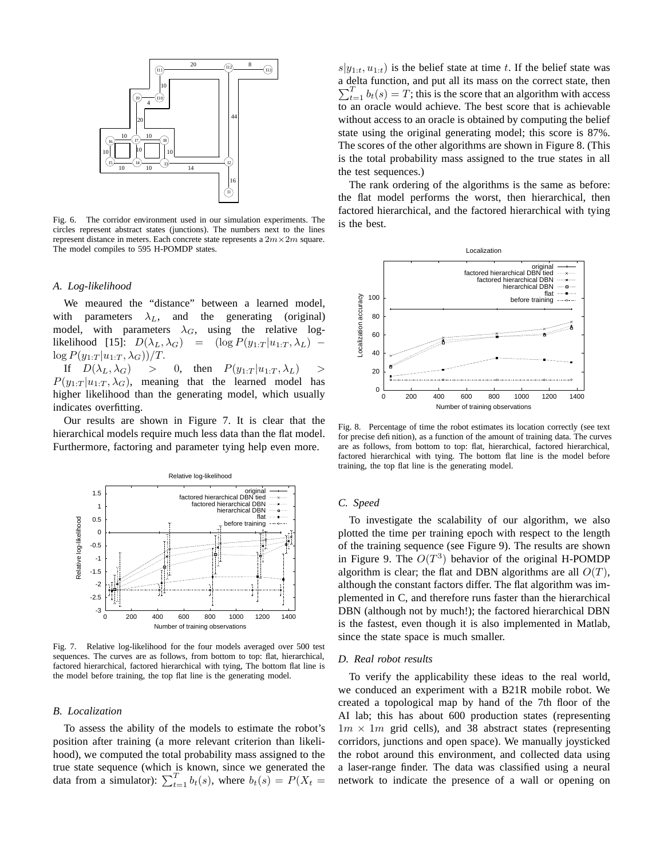

Fig. 6. The corridor environment used in our simulation experiments. The circles represent abstract states (junctions). The numbers next to the lines represent distance in meters. Each concrete state represents a  $2m \times 2m$  square. The model compiles to 595 H-POMDP states.

## *A. Log-likelihood*

We meaured the "distance" between a learned model, with parameters  $\lambda_L$ , and the generating (original) model, with parameters  $\lambda_G$ , using the relative loglikelihood [15]:  $D(\lambda_L, \lambda_G) = (\log P(y_{1:T} | u_{1:T}, \lambda_L)$  –  $\log P(y_{1:T} | u_{1:T}, \lambda_G))/T.$ 

If  $D(\lambda_L, \lambda_G)$  > 0, then  $P(y_{1:T} | u_{1:T}, \lambda_L)$  >  $P(y_{1:T} | u_{1:T}, \lambda_G)$ , meaning that the learned model has higher likelihood than the generating model, which usually indicates overfitting.

Our results are shown in Figure 7. It is clear that the hierarchical models require much less data than the flat model. Furthermore, factoring and parameter tying help even more.



Fig. 7. Relative log-likelihood for the four models averaged over 500 test sequences. The curves are as follows, from bottom to top: flat, hierarchical, factored hierarchical, factored hierarchical with tying, The bottom flat line is the model before training, the top flat line is the generating model.

#### *B. Localization*

To assess the ability of the models to estimate the robot's position after training (a more relevant criterion than likelihood), we computed the total probability mass assigned to the true state sequence (which is known, since we generated the data from a simulator):  $\sum_{t=1}^{T} b_t(s)$ , where  $b_t(s) = P(X_t =$ 

 $s|y_{1:t}, u_{1:t}$  is the belief state at time t. If the belief state was a delta function, and put all its mass on the correct state, then  $\sum_{t=1}^{T} b_t(s) = T$ ; this is the score that an algorithm with access to an oracle would achieve. The best score that is achievable without access to an oracle is obtained by computing the belief state using the original generating model; this score is 87%. The scores of the other algorithms are shown in Figure 8. (This is the total probability mass assigned to the true states in all the test sequences.)

The rank ordering of the algorithms is the same as before: the flat model performs the worst, then hierarchical, then factored hierarchical, and the factored hierarchical with tying is the best.



Fig. 8. Percentage of time the robot estimates its location correctly (see text for precise definition), as a function of the amount of training data. The curves are as follows, from bottom to top: flat, hierarchical, factored hierarchical, factored hierarchical with tying. The bottom flat line is the model before training, the top flat line is the generating model.

#### *C. Speed*

To investigate the scalability of our algorithm, we also plotted the time per training epoch with respect to the length of the training sequence (see Figure 9). The results are shown in Figure 9. The  $O(T^3)$  behavior of the original H-POMDP algorithm is clear; the flat and DBN algorithms are all  $O(T)$ , although the constant factors differ. The flat algorithm was implemented in C, and therefore runs faster than the hierarchical DBN (although not by much!); the factored hierarchical DBN is the fastest, even though it is also implemented in Matlab, since the state space is much smaller.

## *D. Real robot results*

To verify the applicability these ideas to the real world, we conduced an experiment with a B21R mobile robot. We created a topological map by hand of the 7th floor of the AI lab; this has about 600 production states (representing  $1m \times 1m$  grid cells), and 38 abstract states (representing corridors, junctions and open space). We manually joysticked the robot around this environment, and collected data using a laser-range finder. The data was classified using a neural network to indicate the presence of a wall or opening on